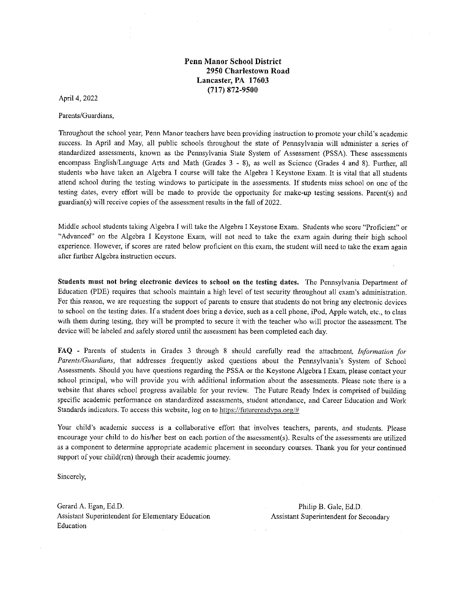Penn Manor School District 2950 Charlestown Road Lancaster, PA 17603 (717) 872-9500

April 4, 2022

Parents/Guardians,

Throughout the school year, Penn Manor teachers have been providing instruction to promote your child's academic success. In April and May, all public schools throughout the state of Pennsylvania will administer a series of standardized assessments, known as the Pennsylvania State System of Assessment (PSSA). These assessments encompass English/Language Arts and Math (Grades 3 - 8), as well as Science (Grades 4 and 8). Further, all students who have taken an Algebra I course will take the Algebra I Keystone Exam. It is vital that all students attend school during the testing windows to participate in the assessments. If students miss school on one of the testing dates, every effort will be made to provide the opportunity for make-up testing sessions. Parent(s) and guardian(s) will receive copies of the assessment results in the fall of 2022.

Middle school students taking Algebra J will take the Algebra 1 Keystone Exam. Students who score "Proficient" or "Advanced" on the Algebra I Keystone Exam, will not need to take the exam again during their high school experience. However, if scores are rated below proficient on this exam, the student will need to take the exam again after further Algebra instruction occurs.

Students must not bring electronic devices to school on the testing dates. The Pennsylvania Department of Education (PDE) requires that schools maintain a high level of test security throughout all exam's administration. For this reason, we are requesting the support of parents to ensure that students do not bring any electronic devices to school on the testing dates. If a student does bring a device, such as a cell phone, iPod, Apple watch, etc., to class with them during testing, they will be prompted to secure it with the teacher who will proctor the assessment. The device will be labeled and safely stored until the assessment has been completed each day.

FAQ - Parents of students in Grades 3 through 8 should carefully read the attachment, Information for Parents/Guardians, that addresses frequently asked questions about the Pennsylvania's System of School Assessments. Should you have questions regarding the PSSA or the Keystone Algebra I Exam, please contact your school principal, who will provide you with additional information about the assessments. Please note there is a website that shares school progress available for your review. The Future Ready Index is comprised of building specific academic performance on standardized assessments, student attendance, and Career Education and Work Standards indicators. To access this website, log on to https://futurereadypa.org/#

Your child's academic success is a collaborative effort that involves teachers, parents, and students. Please encourage your child to do his/her best on each portion of the assessment(s). Results of the assessments are utilized as a component to determine appropriate academic placement in secondary courses. Thank you for your continued support of your child(ren) through their academic journey.

Sincerely,

Gerard A. Egan, Ed.D. **Philip B. Gale, Ed.D.** Philip B. Gale, Ed.D. Assistant Superintendent for Elementary Education Assistant Superintendent for Secondary Education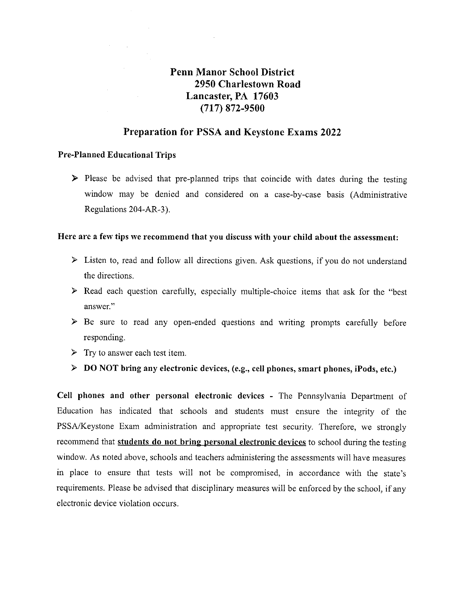# Penn Manor School District 2950 Charlestown Road Lancaster, PA 17603 (717) 872-9500

# Preparation for PSSA and Keystone Exams 2022

#### Pre-Planned Educational Trips

 $\triangleright$  Please be advised that pre-planned trips that coincide with dates during the testing window may be denied and considered on a case-by-case basis (Administrative Regulations 204-AR-3).

# Here are a few tips we recommend that you discuss with your child about the assessment:

- $\triangleright$  Listen to, read and follow all directions given. Ask questions, if you do not understand the directions.
- > Read each question carefully, especially multiple-choice items that ask for the "best answer."
- >» Be sure to read any open-ended questions and writing prompts carefully before responding.
- $\triangleright$  Try to answer each test item.
- >» DO NOT bring any electronic devices, (e.g., cell phones, smart phones, iPods, etc.)

Cell phones and other personal electronic devices - The Pennsylvania Department of Education has indicated that schools and students must ensure the integrity of the PSSA/Keystone Exam administration and appropriate test security. Therefore, we strongly recommend that students do not bring personal electronic devices to school during the testing window. As noted above, schools and teachers administering the assessments will have measures in place to ensure that tests will not be compromised, in accordance with the state's requirements. Please be advised that disciplinary measures will be enforced by the school, if any electronic device violation occurs.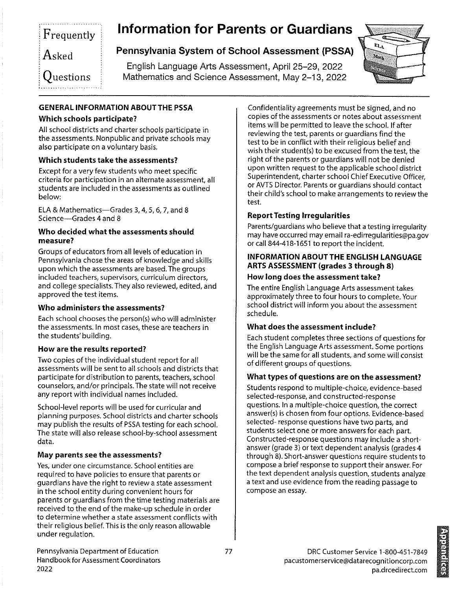# Frequently Asked  $\frac{1}{\text{sked}}$ <br>uestio  $\mathsf{i} \, \mathsf{O}$ uestions Frequently<br>
Asked<br>
Pennsylvania System of S<br>
English Language Arts Ass<br>
Questions<br>
Mathematics and Science A

# information for Parents or Guardians

# Pennsylvania System of School Assessment (PSSA)

English Language Arts Assessment, April 25-29, 2022 Mathematics and Science Assessment, May 2-13, 2022



# GENERAL INFORMATION ABOUT THE PSSA

# Which schools participate?

All school districts and charter schools participate in the assessments. Nonpublic and private schools may also participate on a voluntary basis.

# Which students take the assessments?

Except for a very few students who meet specific criteria for participation in an alternate assessment, all students are included in the assessments as outlined below:

ELA & Mathematics—Grades 3, 4, 5, 6, 7, and 8 Science—Grades 4 and 8

#### Who decided what the assessments should measure?

Groups of educators from all levels of education in Pennsylvania chose the areas of knowledge and skills upon which the assessments are based. The groups included teachers, supervisors, curriculum directors, and college specialists. They also reviewed, edited, and approved the test items.

# Who administers the assessments?

Each school chooses the person(s) who will administer the assessments. In most cases, these are teachers in the students' building.

#### How are the results reported?

Two copies of the individual student report for all assessments will be sent to all schools and districts that participate for distribution to parents, teachers, school counselors, and/or principals. The state will not receive any report with individual names included.

School-level reports will be used for curricular and planning purposes. School districts and charter schools may publish the results of PSSA testing for each school. The state will also release school-by-school assessment data.

# May parents see the assessments?

Yes, under one circumstance. School entities are required to have policies to ensure that parents or guardians have the right to review a state assessment in the school entity during convenient hours for parents or guardians from the time testing materials are received to the end of the make-up schedule in order to determine whether a state assessment conflicts with their religious belief. This is the only reason allowable under regulation.

Confidentiality agreements must be signed, and no copies of the assessments or notes about assessment items will be permitted to leave the school. If after reviewing the test, parents or guardians find the test to be in conflict with their religious belief and wish their student(s) to be excused from the test, the tight of the parents or guardians will not be denied upon written request to the applicable school district Superintendent, charter school Chief Executive Officer, or AVTS Director, Parents or guardians should contact their child's school to make arrangements to review the test.

# Report Testing Irregularities

Parents/guardians who believe that a testing irregularity may have occurred may email ra-edirregularities@pa.gov or call 844-418-1651 to report the incident.

#### INFORMATION ABOUT THE ENGLISH LANGUAGE ARTS ASSESSMENT (grades 3 through 8)

#### How long does the assessment take?

The entire English Language Arts assessment takes approximately three to four hours to complete. Your school district will inform you about the assessment schedule.

# What does the assessment include?

Each student completes three sections of questions for the English Language Arts assessment. Some portions will be the same for all students, and some will consist of different groups of questions.

#### What types of questions are on the assessment?

Students respond to multiple-choice, evidence-based selected-response, and constructed-response questions. Ina multiple-choice question, the correct answer(s) is chosen from four options. Evidence-based selected- response questions have two parts, and students select one or more answers for each part. Constructed-response questions may include a shortanswer (grade 3) or text dependent analysis (grades 4 through 8). Short-answer questions require students to compose a brief response to support their answer. For the text dependent analysis question, students analyze a text and use evidence from the reading passage to compose an essay.

under reg<br>Pennsylva<br>Handbool<br>2022 Pennsylvania Department of Education Handbook for Assessment Coordinators 2022

is a series of the contract of the contract of the contract of the contract of the contract of the contract of